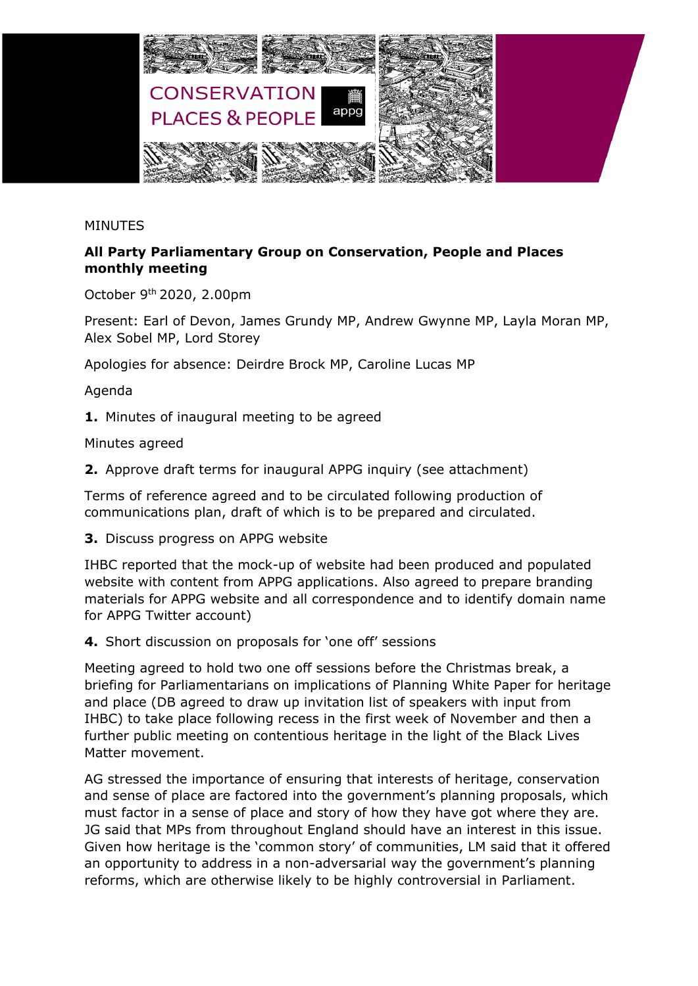

## MINUTES

## **All Party Parliamentary Group on Conservation, People and Places monthly meeting**

October 9 th 2020, 2.00pm

Present: Earl of Devon, James Grundy MP, Andrew Gwynne MP, Layla Moran MP, Alex Sobel MP, Lord Storey

Apologies for absence: Deirdre Brock MP, Caroline Lucas MP

Agenda

**1.** Minutes of inaugural meeting to be agreed

Minutes agreed

**2.** Approve draft terms for inaugural APPG inquiry (see attachment)

Terms of reference agreed and to be circulated following production of communications plan, draft of which is to be prepared and circulated.

**3.** Discuss progress on APPG website

IHBC reported that the mock-up of website had been produced and populated website with content from APPG applications. Also agreed to prepare branding materials for APPG website and all correspondence and to identify domain name for APPG Twitter account)

**4.** Short discussion on proposals for 'one off' sessions

Meeting agreed to hold two one off sessions before the Christmas break, a briefing for Parliamentarians on implications of Planning White Paper for heritage and place (DB agreed to draw up invitation list of speakers with input from IHBC) to take place following recess in the first week of November and then a further public meeting on contentious heritage in the light of the Black Lives Matter movement.

AG stressed the importance of ensuring that interests of heritage, conservation and sense of place are factored into the government's planning proposals, which must factor in a sense of place and story of how they have got where they are. JG said that MPs from throughout England should have an interest in this issue. Given how heritage is the 'common story' of communities, LM said that it offered an opportunity to address in a non-adversarial way the government's planning reforms, which are otherwise likely to be highly controversial in Parliament.